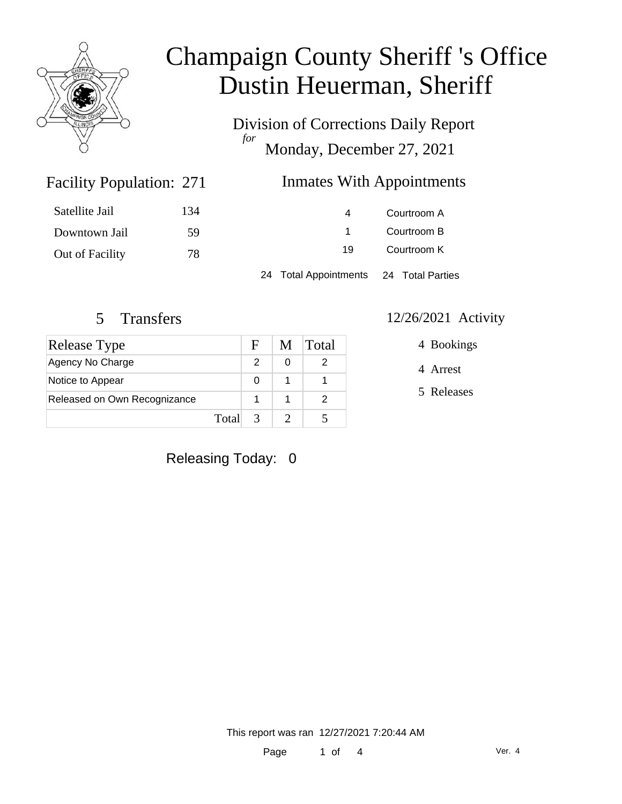

Division of Corrections Daily Report *for* Monday, December 27, 2021

### Inmates With Appointments

| Satellite Jail  | 134 | 4                                      | Courtroom A |  |
|-----------------|-----|----------------------------------------|-------------|--|
| Downtown Jail   | -59 |                                        | Courtroom B |  |
| Out of Facility | 78  | 19                                     | Courtroom K |  |
|                 |     | 24 Total Appointments 24 Total Parties |             |  |

Facility Population: 271

| Release Type                 |       | Е.         | M | <b>Total</b> |
|------------------------------|-------|------------|---|--------------|
| Agency No Charge             |       |            |   |              |
| Notice to Appear             |       | O          |   |              |
| Released on Own Recognizance |       |            |   |              |
|                              | Total | $\sqrt{3}$ |   |              |

#### 5 Transfers 12/26/2021 Activity

4 Bookings

4 Arrest

5 Releases

Releasing Today: 0

This report was ran 12/27/2021 7:20:44 AM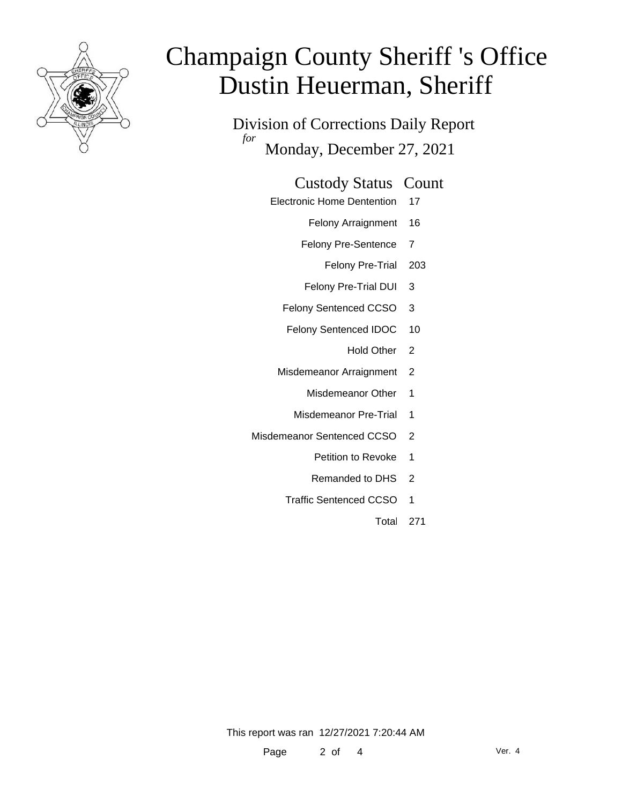

Division of Corrections Daily Report *for* Monday, December 27, 2021

#### Custody Status Count

- Electronic Home Dentention 17
	- Felony Arraignment 16
	- Felony Pre-Sentence 7
		- Felony Pre-Trial 203
	- Felony Pre-Trial DUI 3
	- Felony Sentenced CCSO 3
	- Felony Sentenced IDOC 10
		- Hold Other 2
	- Misdemeanor Arraignment 2
		- Misdemeanor Other 1
		- Misdemeanor Pre-Trial 1
- Misdemeanor Sentenced CCSO 2
	- Petition to Revoke 1
	- Remanded to DHS 2
	- Traffic Sentenced CCSO 1
		- Total 271

This report was ran 12/27/2021 7:20:44 AM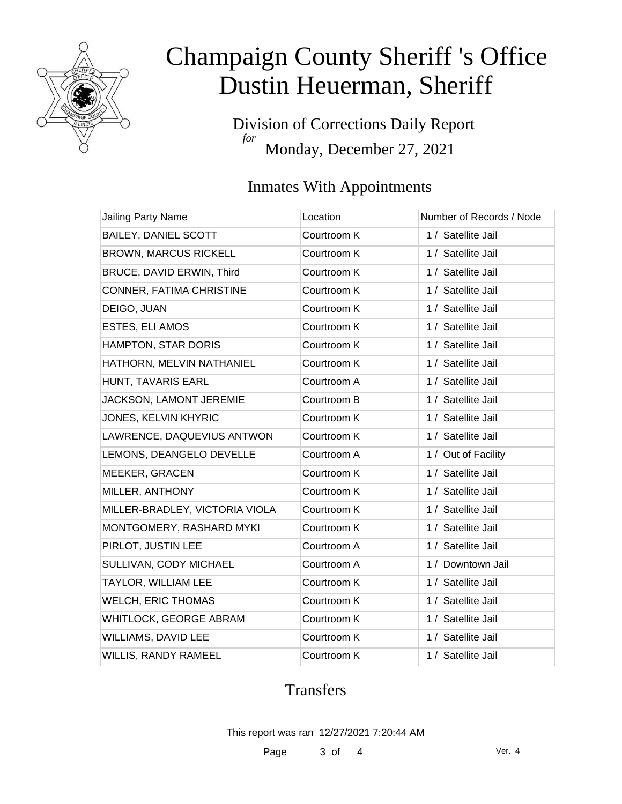

Division of Corrections Daily Report *for* Monday, December 27, 2021

### Inmates With Appointments

| Jailing Party Name             | Location    | Number of Records / Node |
|--------------------------------|-------------|--------------------------|
| <b>BAILEY, DANIEL SCOTT</b>    | Courtroom K | 1 / Satellite Jail       |
| <b>BROWN, MARCUS RICKELL</b>   | Courtroom K | 1 / Satellite Jail       |
| BRUCE, DAVID ERWIN, Third      | Courtroom K | 1 / Satellite Jail       |
| CONNER, FATIMA CHRISTINE       | Courtroom K | 1 / Satellite Jail       |
| DEIGO, JUAN                    | Courtroom K | 1 / Satellite Jail       |
| ESTES, ELI AMOS                | Courtroom K | 1 / Satellite Jail       |
| HAMPTON, STAR DORIS            | Courtroom K | 1 / Satellite Jail       |
| HATHORN, MELVIN NATHANIEL      | Courtroom K | 1 / Satellite Jail       |
| HUNT, TAVARIS EARL             | Courtroom A | 1 / Satellite Jail       |
| JACKSON, LAMONT JEREMIE        | Courtroom B | 1 / Satellite Jail       |
| JONES, KELVIN KHYRIC           | Courtroom K | 1 / Satellite Jail       |
| LAWRENCE, DAQUEVIUS ANTWON     | Courtroom K | 1 / Satellite Jail       |
| LEMONS, DEANGELO DEVELLE       | Courtroom A | 1 / Out of Facility      |
| MEEKER, GRACEN                 | Courtroom K | 1 / Satellite Jail       |
| MILLER, ANTHONY                | Courtroom K | 1 / Satellite Jail       |
| MILLER-BRADLEY, VICTORIA VIOLA | Courtroom K | 1 / Satellite Jail       |
| MONTGOMERY, RASHARD MYKI       | Courtroom K | 1 / Satellite Jail       |
| PIRLOT, JUSTIN LEE             | Courtroom A | 1 / Satellite Jail       |
| SULLIVAN, CODY MICHAEL         | Courtroom A | 1 / Downtown Jail        |
| <b>TAYLOR, WILLIAM LEE</b>     | Courtroom K | 1 / Satellite Jail       |
| <b>WELCH, ERIC THOMAS</b>      | Courtroom K | 1 / Satellite Jail       |
| WHITLOCK, GEORGE ABRAM         | Courtroom K | 1 / Satellite Jail       |
| WILLIAMS, DAVID LEE            | Courtroom K | 1 / Satellite Jail       |
| <b>WILLIS, RANDY RAMEEL</b>    | Courtroom K | 1 / Satellite Jail       |

### **Transfers**